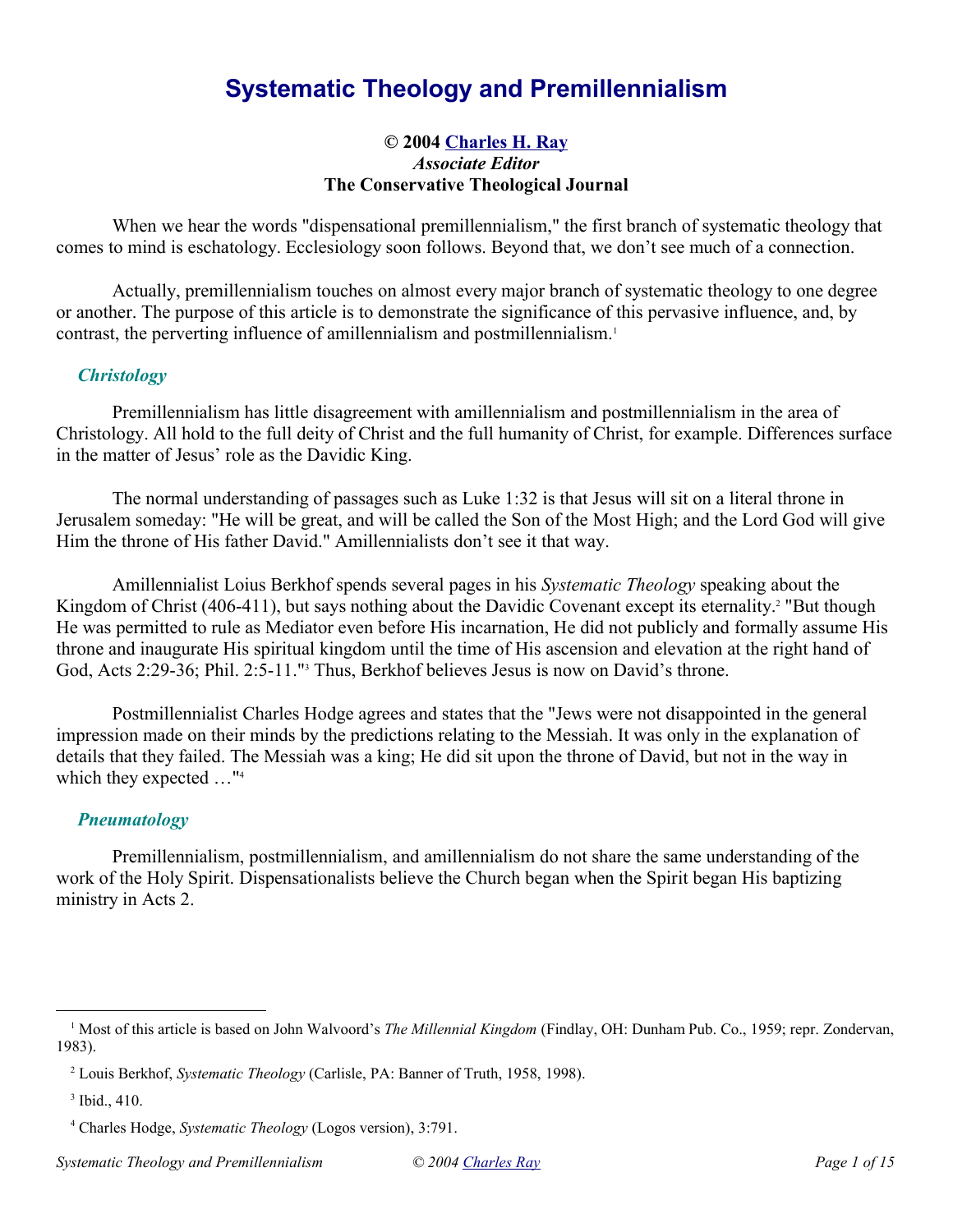# **Systematic Theology and Premillennialism**

### **© 2004 Charles H. Ray** *Associate Editor* **The Conservative Theological Journal**

When we hear the words "dispensational premillennialism," the first branch of systematic theology that comes to mind is eschatology. Ecclesiology soon follows. Beyond that, we don't see much of a connection.

Actually, premillennialism touches on almost every major branch of systematic theology to one degree or another. The purpose of this article is to demonstrate the significance of this pervasive influence, and, by contrast, the perverting influence of amillennialism and postmillennialism.<sup>1</sup>

## *Christology*

Premillennialism has little disagreement with amillennialism and postmillennialism in the area of Christology. All hold to the full deity of Christ and the full humanity of Christ, for example. Differences surface in the matter of Jesus' role as the Davidic King.

The normal understanding of passages such as Luke 1:32 is that Jesus will sit on a literal throne in Jerusalem someday: "He will be great, and will be called the Son of the Most High; and the Lord God will give Him the throne of His father David." Amillennialists don't see it that way.

Amillennialist Loius Berkhof spends several pages in his *Systematic Theology* speaking about the Kingdom of Christ (406-411), but says nothing about the Davidic Covenant except its eternality.<sup>2</sup> "But though He was permitted to rule as Mediator even before His incarnation, He did not publicly and formally assume His throne and inaugurate His spiritual kingdom until the time of His ascension and elevation at the right hand of God, Acts 2:29-36; Phil. 2:5-11." Thus, Berkhof believes Jesus is now on David's throne.

Postmillennialist Charles Hodge agrees and states that the "Jews were not disappointed in the general impression made on their minds by the predictions relating to the Messiah. It was only in the explanation of details that they failed. The Messiah was a king; He did sit upon the throne of David, but not in the way in which they expected …"<sup>4</sup>

#### *Pneumatology*

Premillennialism, postmillennialism, and amillennialism do not share the same understanding of the work of the Holy Spirit. Dispensationalists believe the Church began when the Spirit began His baptizing ministry in Acts 2.

<sup>&</sup>lt;sup>1</sup> Most of this article is based on John Walvoord's *The Millennial Kingdom* (Findlay, OH: Dunham Pub. Co., 1959; repr. Zondervan, 1983).

<sup>2</sup> Louis Berkhof, *Systematic Theology* (Carlisle, PA: Banner of Truth, 1958, 1998).

<sup>3</sup> Ibid., 410.

<sup>4</sup> Charles Hodge, *Systematic Theology* (Logos version), 3:791.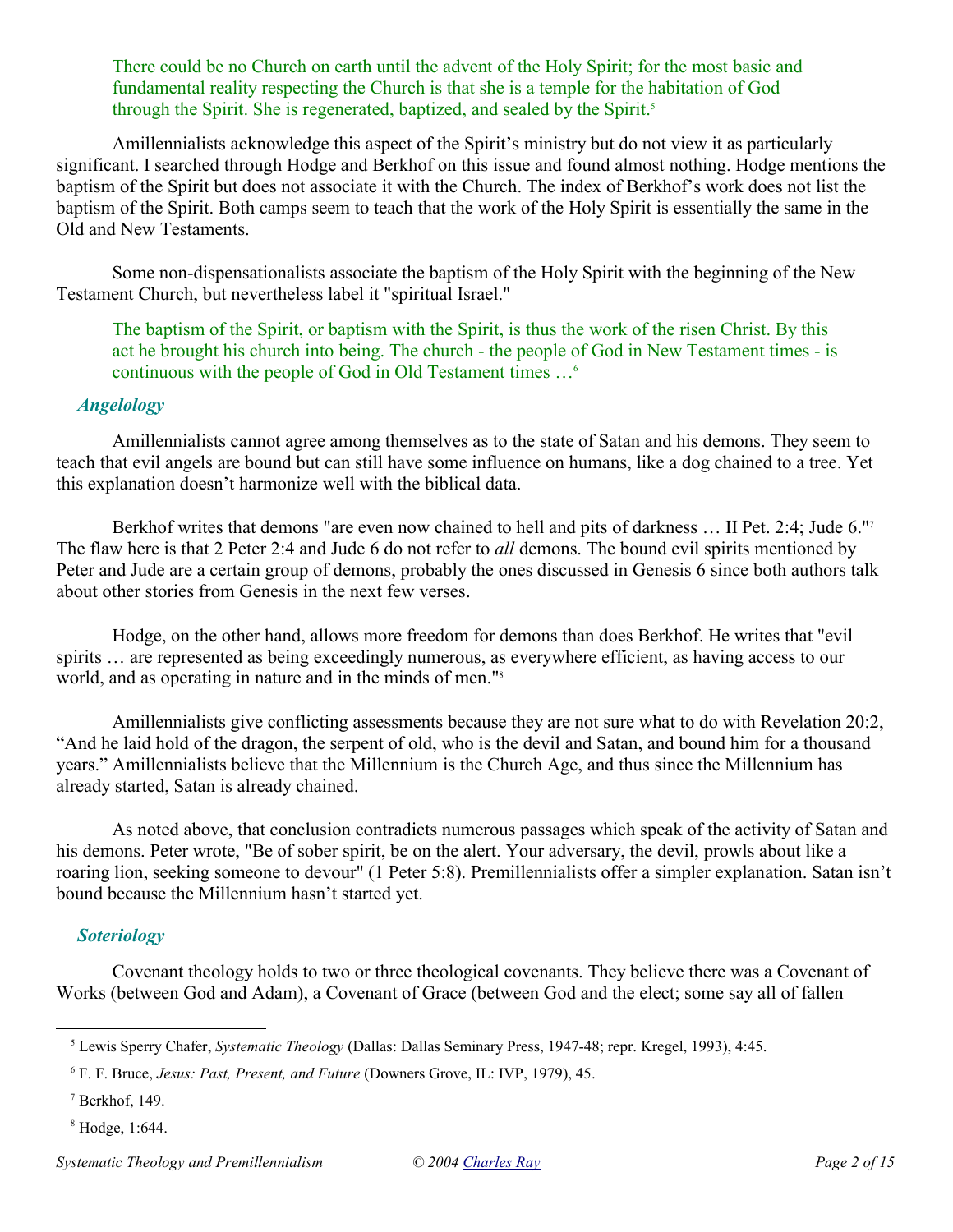There could be no Church on earth until the advent of the Holy Spirit; for the most basic and fundamental reality respecting the Church is that she is a temple for the habitation of God through the Spirit. She is regenerated, baptized, and sealed by the Spirit.<sup>5</sup>

Amillennialists acknowledge this aspect of the Spirit's ministry but do not view it as particularly significant. I searched through Hodge and Berkhof on this issue and found almost nothing. Hodge mentions the baptism of the Spirit but does not associate it with the Church. The index of Berkhof's work does not list the baptism of the Spirit. Both camps seem to teach that the work of the Holy Spirit is essentially the same in the Old and New Testaments.

Some non-dispensationalists associate the baptism of the Holy Spirit with the beginning of the New Testament Church, but nevertheless label it "spiritual Israel."

The baptism of the Spirit, or baptism with the Spirit, is thus the work of the risen Christ. By this act he brought his church into being. The church - the people of God in New Testament times - is continuous with the people of God in Old Testament times …<sup>6</sup>

## *Angelology*

Amillennialists cannot agree among themselves as to the state of Satan and his demons. They seem to teach that evil angels are bound but can still have some influence on humans, like a dog chained to a tree. Yet this explanation doesn't harmonize well with the biblical data.

Berkhof writes that demons "are even now chained to hell and pits of darkness … II Pet. 2:4; Jude 6."<sup>7</sup> The flaw here is that 2 Peter 2:4 and Jude 6 do not refer to *all* demons. The bound evil spirits mentioned by Peter and Jude are a certain group of demons, probably the ones discussed in Genesis 6 since both authors talk about other stories from Genesis in the next few verses.

Hodge, on the other hand, allows more freedom for demons than does Berkhof. He writes that "evil spirits … are represented as being exceedingly numerous, as everywhere efficient, as having access to our world, and as operating in nature and in the minds of men."<sup>8</sup>

Amillennialists give conflicting assessments because they are not sure what to do with Revelation 20:2, "And he laid hold of the dragon, the serpent of old, who is the devil and Satan, and bound him for a thousand years." Amillennialists believe that the Millennium is the Church Age, and thus since the Millennium has already started, Satan is already chained.

As noted above, that conclusion contradicts numerous passages which speak of the activity of Satan and his demons. Peter wrote, "Be of sober spirit, be on the alert. Your adversary, the devil, prowls about like a roaring lion, seeking someone to devour" (1 Peter 5:8). Premillennialists offer a simpler explanation. Satan isn't bound because the Millennium hasn't started yet.

#### *Soteriology*

Covenant theology holds to two or three theological covenants. They believe there was a Covenant of Works (between God and Adam), a Covenant of Grace (between God and the elect; some say all of fallen

<sup>5</sup> Lewis Sperry Chafer, *Systematic Theology* (Dallas: Dallas Seminary Press, 1947-48; repr. Kregel, 1993), 4:45.

<sup>6</sup> F. F. Bruce, *Jesus: Past, Present, and Future* (Downers Grove, IL: IVP, 1979), 45.

<sup>7</sup> Berkhof, 149.

<sup>8</sup> Hodge, 1:644.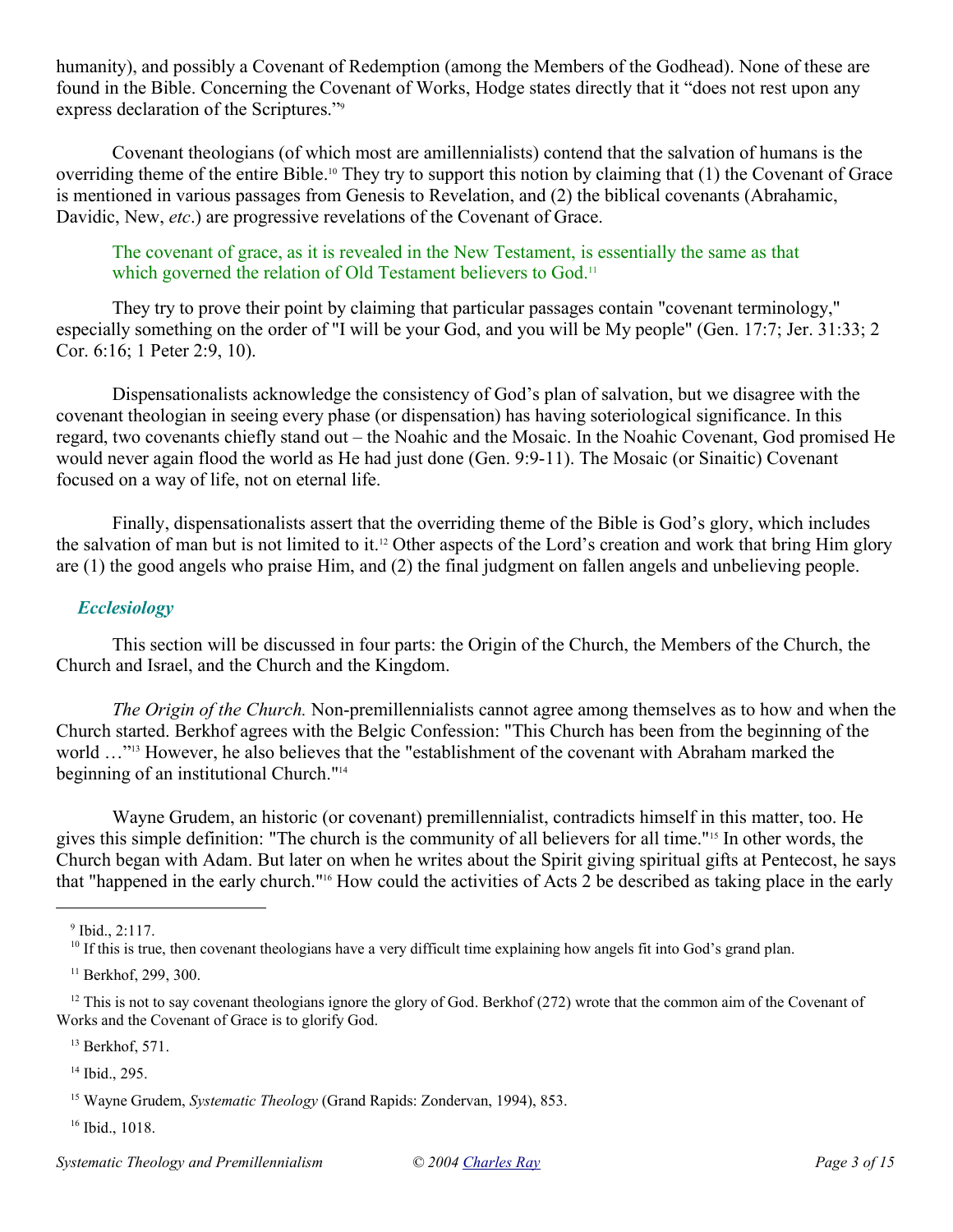humanity), and possibly a Covenant of Redemption (among the Members of the Godhead). None of these are found in the Bible. Concerning the Covenant of Works, Hodge states directly that it "does not rest upon any express declaration of the Scriptures."<sup>9</sup>

Covenant theologians (of which most are amillennialists) contend that the salvation of humans is the overriding theme of the entire Bible.10 They try to support this notion by claiming that (1) the Covenant of Grace is mentioned in various passages from Genesis to Revelation, and (2) the biblical covenants (Abrahamic, Davidic, New, *etc*.) are progressive revelations of the Covenant of Grace.

The covenant of grace, as it is revealed in the New Testament, is essentially the same as that which governed the relation of Old Testament believers to God.<sup>11</sup>

They try to prove their point by claiming that particular passages contain "covenant terminology," especially something on the order of "I will be your God, and you will be My people" (Gen. 17:7; Jer. 31:33; 2 Cor. 6:16; 1 Peter 2:9, 10).

Dispensationalists acknowledge the consistency of God's plan of salvation, but we disagree with the covenant theologian in seeing every phase (or dispensation) has having soteriological significance. In this regard, two covenants chiefly stand out – the Noahic and the Mosaic. In the Noahic Covenant, God promised He would never again flood the world as He had just done (Gen. 9:9-11). The Mosaic (or Sinaitic) Covenant focused on a way of life, not on eternal life.

Finally, dispensationalists assert that the overriding theme of the Bible is God's glory, which includes the salvation of man but is not limited to it.12 Other aspects of the Lord's creation and work that bring Him glory are (1) the good angels who praise Him, and (2) the final judgment on fallen angels and unbelieving people.

### *Ecclesiology*

This section will be discussed in four parts: the Origin of the Church, the Members of the Church, the Church and Israel, and the Church and the Kingdom.

*The Origin of the Church.* Non-premillennialists cannot agree among themselves as to how and when the Church started. Berkhof agrees with the Belgic Confession: "This Church has been from the beginning of the world …"13 However, he also believes that the "establishment of the covenant with Abraham marked the beginning of an institutional Church."<sup>14</sup>

Wayne Grudem, an historic (or covenant) premillennialist, contradicts himself in this matter, too. He gives this simple definition: "The church is the community of all believers for all time."15 In other words, the Church began with Adam. But later on when he writes about the Spirit giving spiritual gifts at Pentecost, he says that "happened in the early church."16 How could the activities of Acts 2 be described as taking place in the early

 $12$  This is not to say covenant theologians ignore the glory of God. Berkhof (272) wrote that the common aim of the Covenant of Works and the Covenant of Grace is to glorify God.

<sup>13</sup> Berkhof, 571.

<sup>14</sup> Ibid., 295.

<sup>16</sup> Ibid., 1018.

 $9$  Ibid., 2:117.

 $10$  If this is true, then covenant theologians have a very difficult time explaining how angels fit into God's grand plan.

<sup>&</sup>lt;sup>11</sup> Berkhof, 299, 300.

<sup>15</sup> Wayne Grudem, *Systematic Theology* (Grand Rapids: Zondervan, 1994), 853.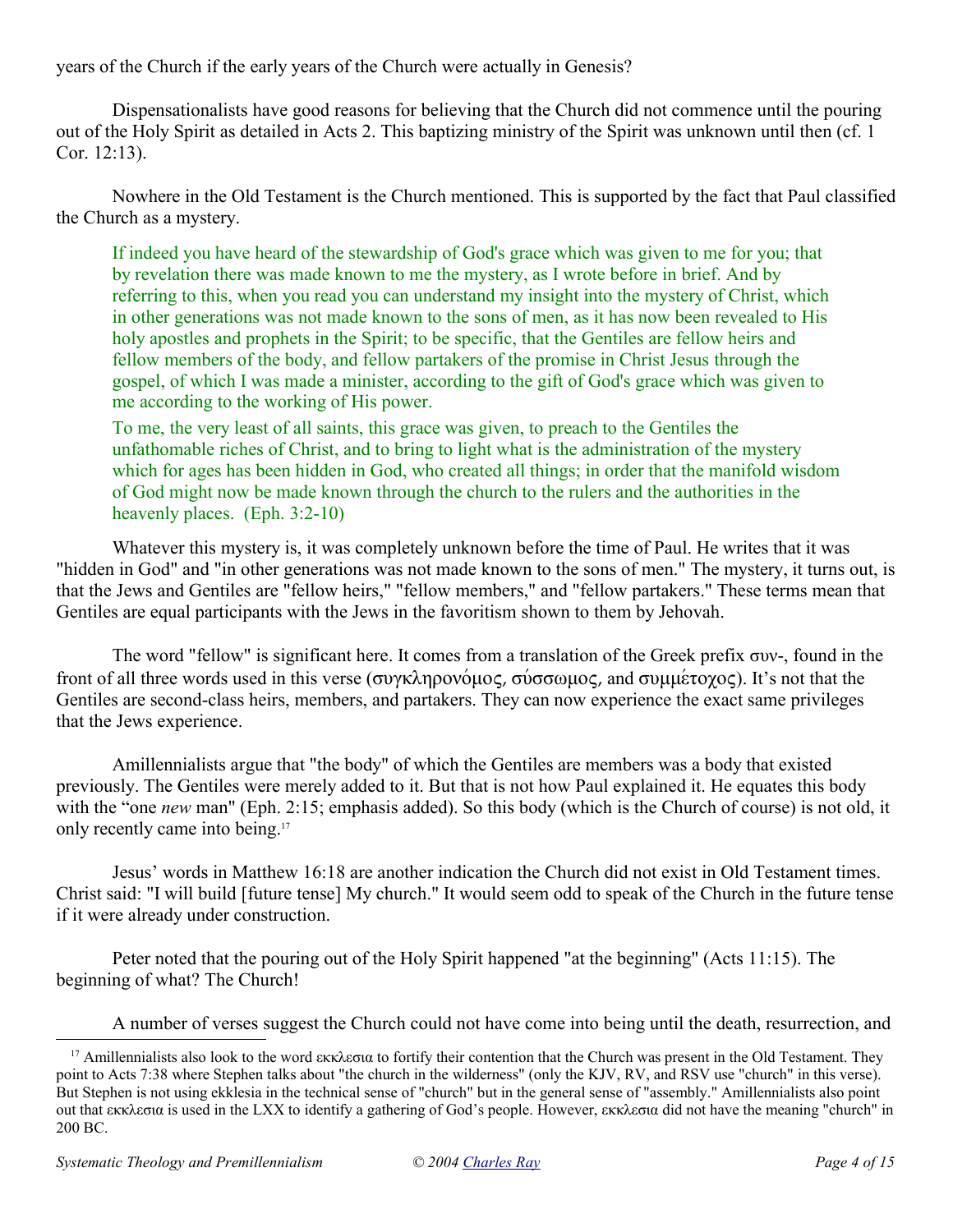years of the Church if the early years of the Church were actually in Genesis?

Dispensationalists have good reasons for believing that the Church did not commence until the pouring out of the Holy Spirit as detailed in Acts 2. This baptizing ministry of the Spirit was unknown until then (cf. 1 Cor. 12:13).

Nowhere in the Old Testament is the Church mentioned. This is supported by the fact that Paul classified the Church as a mystery.

If indeed you have heard of the stewardship of God's grace which was given to me for you; that by revelation there was made known to me the mystery, as I wrote before in brief. And by referring to this, when you read you can understand my insight into the mystery of Christ, which in other generations was not made known to the sons of men, as it has now been revealed to His holy apostles and prophets in the Spirit; to be specific, that the Gentiles are fellow heirs and fellow members of the body, and fellow partakers of the promise in Christ Jesus through the gospel, of which I was made a minister, according to the gift of God's grace which was given to me according to the working of His power.

To me, the very least of all saints, this grace was given, to preach to the Gentiles the unfathomable riches of Christ, and to bring to light what is the administration of the mystery which for ages has been hidden in God, who created all things; in order that the manifold wisdom of God might now be made known through the church to the rulers and the authorities in the heavenly places. (Eph. 3:2-10)

Whatever this mystery is, it was completely unknown before the time of Paul. He writes that it was "hidden in God" and "in other generations was not made known to the sons of men." The mystery, it turns out, is that the Jews and Gentiles are "fellow heirs," "fellow members," and "fellow partakers." These terms mean that Gentiles are equal participants with the Jews in the favoritism shown to them by Jehovah.

The word "fellow" is significant here. It comes from a translation of the Greek prefix  $\sigma$ w-, found in the front of all three words used in this verse (συγκληρονόμος, σύσσωμος, and συμμέτοχος). It's not that the Gentiles are second-class heirs, members, and partakers. They can now experience the exact same privileges that the Jews experience.

Amillennialists argue that "the body" of which the Gentiles are members was a body that existed previously. The Gentiles were merely added to it. But that is not how Paul explained it. He equates this body with the "one *new* man" (Eph. 2:15; emphasis added). So this body (which is the Church of course) is not old, it only recently came into being.<sup>17</sup>

Jesus' words in Matthew 16:18 are another indication the Church did not exist in Old Testament times. Christ said: "I will build [future tense] My church." It would seem odd to speak of the Church in the future tense if it were already under construction.

Peter noted that the pouring out of the Holy Spirit happened "at the beginning" (Acts 11:15). The beginning of what? The Church!

A number of verses suggest the Church could not have come into being until the death, resurrection, and

<sup>&</sup>lt;sup>17</sup> Amillennialists also look to the word  $\epsilon$ κκλεσια to fortify their contention that the Church was present in the Old Testament. They point to Acts 7:38 where Stephen talks about "the church in the wilderness" (only the KJV, RV, and RSV use "church" in this verse). But Stephen is not using ekklesia in the technical sense of "church" but in the general sense of "assembly." Amillennialists also point out that εκκλεσια is used in the LXX to identify a gathering of God's people. However, εκκλεσια did not have the meaning "church" in 200 BC.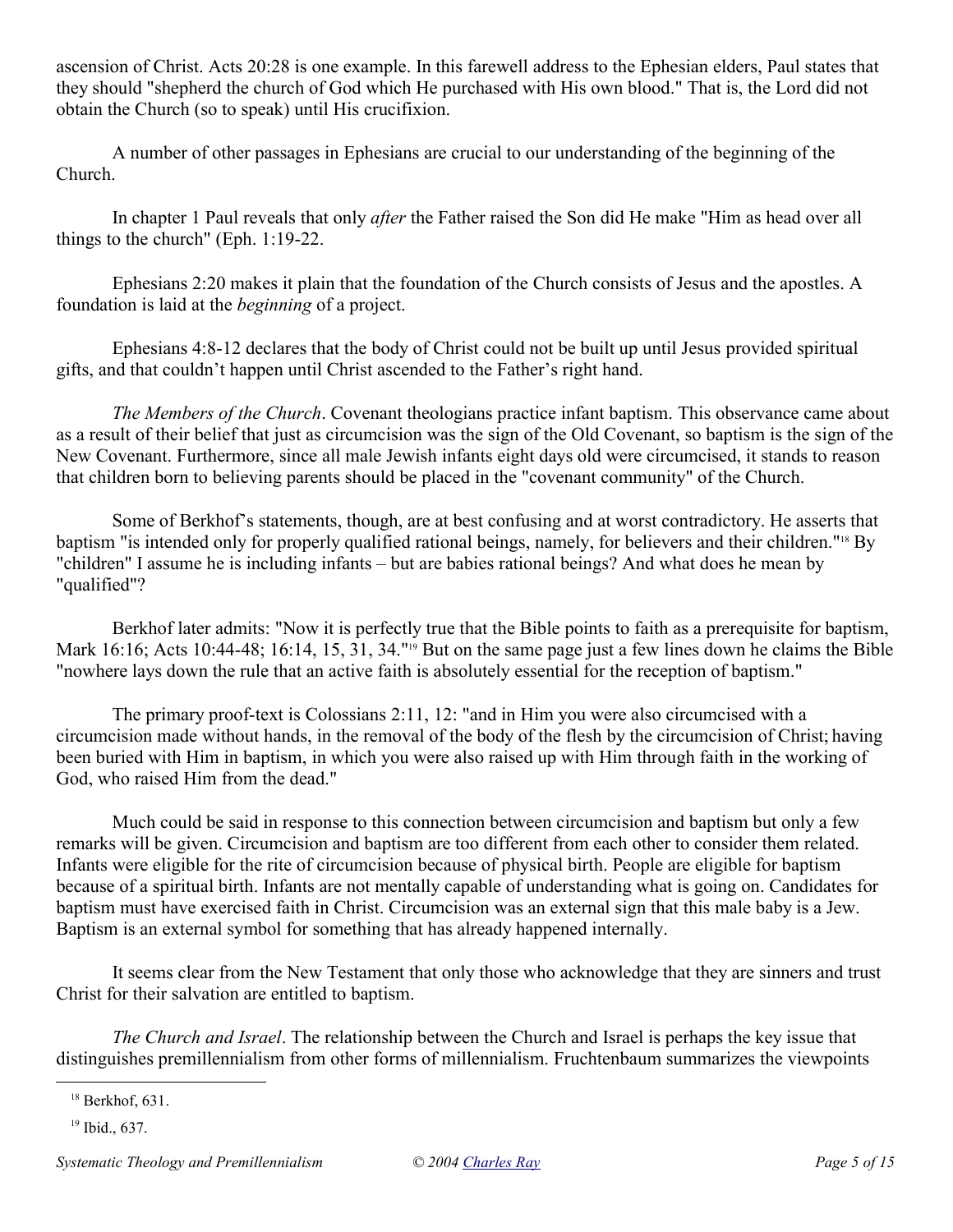ascension of Christ. Acts 20:28 is one example. In this farewell address to the Ephesian elders, Paul states that they should "shepherd the church of God which He purchased with His own blood." That is, the Lord did not obtain the Church (so to speak) until His crucifixion.

A number of other passages in Ephesians are crucial to our understanding of the beginning of the Church.

In chapter 1 Paul reveals that only *after* the Father raised the Son did He make "Him as head over all things to the church" (Eph. 1:19-22.

Ephesians 2:20 makes it plain that the foundation of the Church consists of Jesus and the apostles. A foundation is laid at the *beginning* of a project.

Ephesians 4:8-12 declares that the body of Christ could not be built up until Jesus provided spiritual gifts, and that couldn't happen until Christ ascended to the Father's right hand.

*The Members of the Church*. Covenant theologians practice infant baptism. This observance came about as a result of their belief that just as circumcision was the sign of the Old Covenant, so baptism is the sign of the New Covenant. Furthermore, since all male Jewish infants eight days old were circumcised, it stands to reason that children born to believing parents should be placed in the "covenant community" of the Church.

Some of Berkhof's statements, though, are at best confusing and at worst contradictory. He asserts that baptism "is intended only for properly qualified rational beings, namely, for believers and their children."18 By "children" I assume he is including infants – but are babies rational beings? And what does he mean by "qualified"?

Berkhof later admits: "Now it is perfectly true that the Bible points to faith as a prerequisite for baptism, Mark 16:16; Acts 10:44-48; 16:14, 15, 31, 34."<sup>19</sup> But on the same page just a few lines down he claims the Bible "nowhere lays down the rule that an active faith is absolutely essential for the reception of baptism."

The primary proof-text is Colossians 2:11, 12: "and in Him you were also circumcised with a circumcision made without hands, in the removal of the body of the flesh by the circumcision of Christ; having been buried with Him in baptism, in which you were also raised up with Him through faith in the working of God, who raised Him from the dead."

Much could be said in response to this connection between circumcision and baptism but only a few remarks will be given. Circumcision and baptism are too different from each other to consider them related. Infants were eligible for the rite of circumcision because of physical birth. People are eligible for baptism because of a spiritual birth. Infants are not mentally capable of understanding what is going on. Candidates for baptism must have exercised faith in Christ. Circumcision was an external sign that this male baby is a Jew. Baptism is an external symbol for something that has already happened internally.

It seems clear from the New Testament that only those who acknowledge that they are sinners and trust Christ for their salvation are entitled to baptism.

*The Church and Israel*. The relationship between the Church and Israel is perhaps the key issue that distinguishes premillennialism from other forms of millennialism. Fruchtenbaum summarizes the viewpoints

 $18$  Berkhof, 631.

<sup>19</sup> Ibid., 637.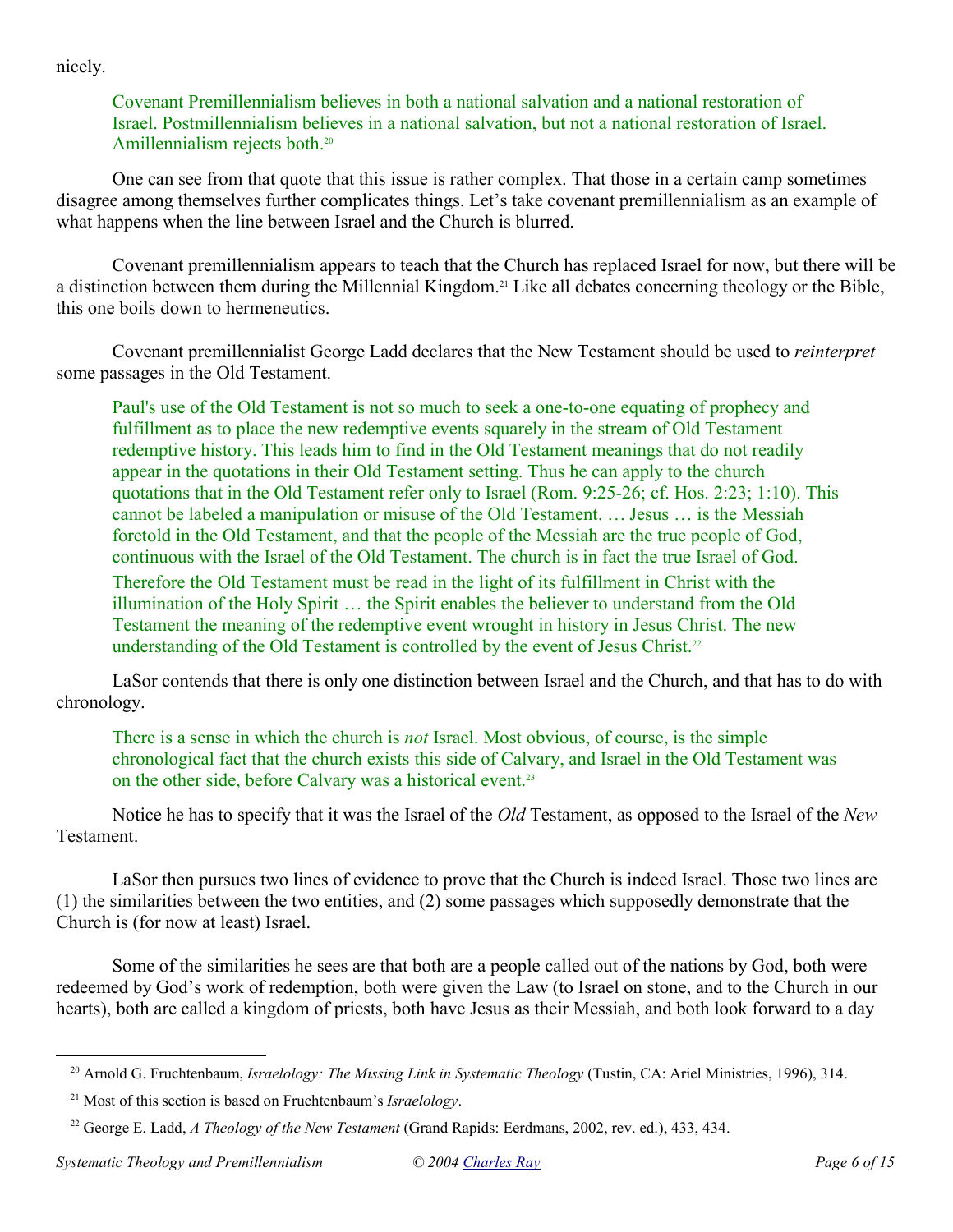nicely.

## Covenant Premillennialism believes in both a national salvation and a national restoration of Israel. Postmillennialism believes in a national salvation, but not a national restoration of Israel. Amillennialism rejects both.<sup>20</sup>

One can see from that quote that this issue is rather complex. That those in a certain camp sometimes disagree among themselves further complicates things. Let's take covenant premillennialism as an example of what happens when the line between Israel and the Church is blurred.

Covenant premillennialism appears to teach that the Church has replaced Israel for now, but there will be a distinction between them during the Millennial Kingdom.21 Like all debates concerning theology or the Bible, this one boils down to hermeneutics.

Covenant premillennialist George Ladd declares that the New Testament should be used to *reinterpret* some passages in the Old Testament.

Paul's use of the Old Testament is not so much to seek a one-to-one equating of prophecy and fulfillment as to place the new redemptive events squarely in the stream of Old Testament redemptive history. This leads him to find in the Old Testament meanings that do not readily appear in the quotations in their Old Testament setting. Thus he can apply to the church quotations that in the Old Testament refer only to Israel (Rom. 9:25-26; cf. Hos. 2:23; 1:10). This cannot be labeled a manipulation or misuse of the Old Testament. … Jesus … is the Messiah foretold in the Old Testament, and that the people of the Messiah are the true people of God, continuous with the Israel of the Old Testament. The church is in fact the true Israel of God.

Therefore the Old Testament must be read in the light of its fulfillment in Christ with the illumination of the Holy Spirit … the Spirit enables the believer to understand from the Old Testament the meaning of the redemptive event wrought in history in Jesus Christ. The new understanding of the Old Testament is controlled by the event of Jesus Christ.<sup>22</sup>

LaSor contends that there is only one distinction between Israel and the Church, and that has to do with chronology.

There is a sense in which the church is *not* Israel. Most obvious, of course, is the simple chronological fact that the church exists this side of Calvary, and Israel in the Old Testament was on the other side, before Calvary was a historical event.<sup>23</sup>

Notice he has to specify that it was the Israel of the *Old* Testament, as opposed to the Israel of the *New* Testament.

LaSor then pursues two lines of evidence to prove that the Church is indeed Israel. Those two lines are (1) the similarities between the two entities, and (2) some passages which supposedly demonstrate that the Church is (for now at least) Israel.

Some of the similarities he sees are that both are a people called out of the nations by God, both were redeemed by God's work of redemption, both were given the Law (to Israel on stone, and to the Church in our hearts), both are called a kingdom of priests, both have Jesus as their Messiah, and both look forward to a day

<sup>&</sup>lt;sup>20</sup> Arnold G. Fruchtenbaum, *Israelology: The Missing Link in Systematic Theology* (Tustin, CA: Ariel Ministries, 1996), 314.

<sup>21</sup> Most of this section is based on Fruchtenbaum's *Israelology*.

<sup>22</sup> George E. Ladd, *A Theology of the New Testament* (Grand Rapids: Eerdmans, 2002, rev. ed.), 433, 434.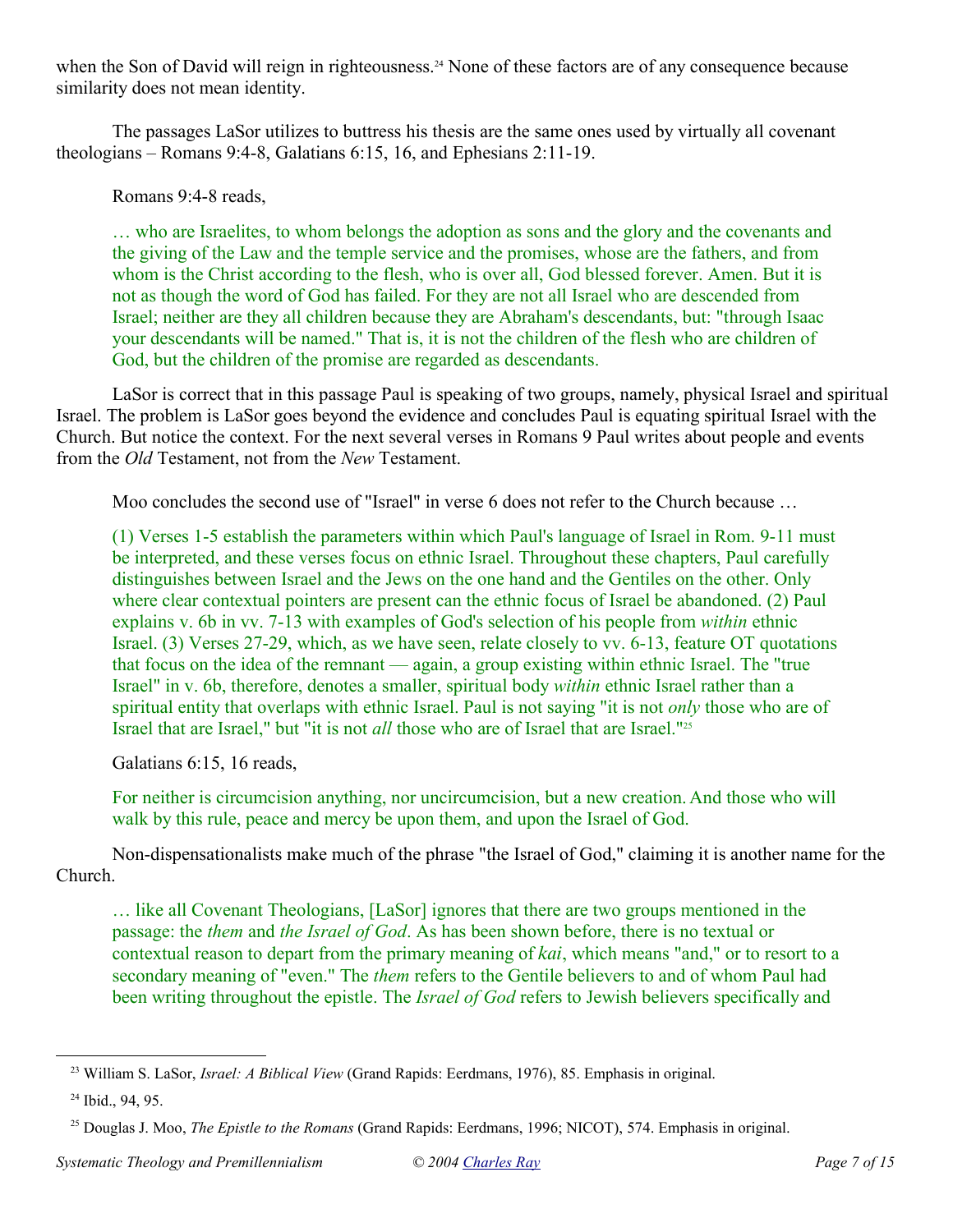when the Son of David will reign in righteousness.<sup>24</sup> None of these factors are of any consequence because similarity does not mean identity.

The passages LaSor utilizes to buttress his thesis are the same ones used by virtually all covenant theologians – Romans 9:4-8, Galatians 6:15, 16, and Ephesians 2:11-19.

Romans 9:4-8 reads,

… who are Israelites, to whom belongs the adoption as sons and the glory and the covenants and the giving of the Law and the temple service and the promises, whose are the fathers, and from whom is the Christ according to the flesh, who is over all, God blessed forever. Amen. But it is not as though the word of God has failed. For they are not all Israel who are descended from Israel; neither are they all children because they are Abraham's descendants, but: "through Isaac your descendants will be named." That is, it is not the children of the flesh who are children of God, but the children of the promise are regarded as descendants.

LaSor is correct that in this passage Paul is speaking of two groups, namely, physical Israel and spiritual Israel. The problem is LaSor goes beyond the evidence and concludes Paul is equating spiritual Israel with the Church. But notice the context. For the next several verses in Romans 9 Paul writes about people and events from the *Old* Testament, not from the *New* Testament.

Moo concludes the second use of "Israel" in verse 6 does not refer to the Church because …

(1) Verses 1-5 establish the parameters within which Paul's language of Israel in Rom. 9-11 must be interpreted, and these verses focus on ethnic Israel. Throughout these chapters, Paul carefully distinguishes between Israel and the Jews on the one hand and the Gentiles on the other. Only where clear contextual pointers are present can the ethnic focus of Israel be abandoned. (2) Paul explains v. 6b in vv. 7-13 with examples of God's selection of his people from *within* ethnic Israel. (3) Verses 27-29, which, as we have seen, relate closely to vv. 6-13, feature OT quotations that focus on the idea of the remnant — again, a group existing within ethnic Israel. The "true Israel" in v. 6b, therefore, denotes a smaller, spiritual body *within* ethnic Israel rather than a spiritual entity that overlaps with ethnic Israel. Paul is not saying "it is not *only* those who are of Israel that are Israel," but "it is not *all* those who are of Israel that are Israel."<sup>25</sup>

Galatians 6:15, 16 reads,

For neither is circumcision anything, nor uncircumcision, but a new creation. And those who will walk by this rule, peace and mercy be upon them, and upon the Israel of God.

Non-dispensationalists make much of the phrase "the Israel of God," claiming it is another name for the Church.

… like all Covenant Theologians, [LaSor] ignores that there are two groups mentioned in the passage: the *them* and *the Israel of God*. As has been shown before, there is no textual or contextual reason to depart from the primary meaning of kai, which means "and," or to resort to a secondary meaning of "even." The *them* refers to the Gentile believers to and of whom Paul had been writing throughout the epistle. The *Israel of God* refers to Jewish believers specifically and

<sup>23</sup> William S. LaSor, *Israel: A Biblical View* (Grand Rapids: Eerdmans, 1976), 85. Emphasis in original.

<sup>&</sup>lt;sup>24</sup> Ibid., 94, 95.

<sup>&</sup>lt;sup>25</sup> Douglas J. Moo, *The Epistle to the Romans* (Grand Rapids: Eerdmans, 1996; NICOT), 574. Emphasis in original.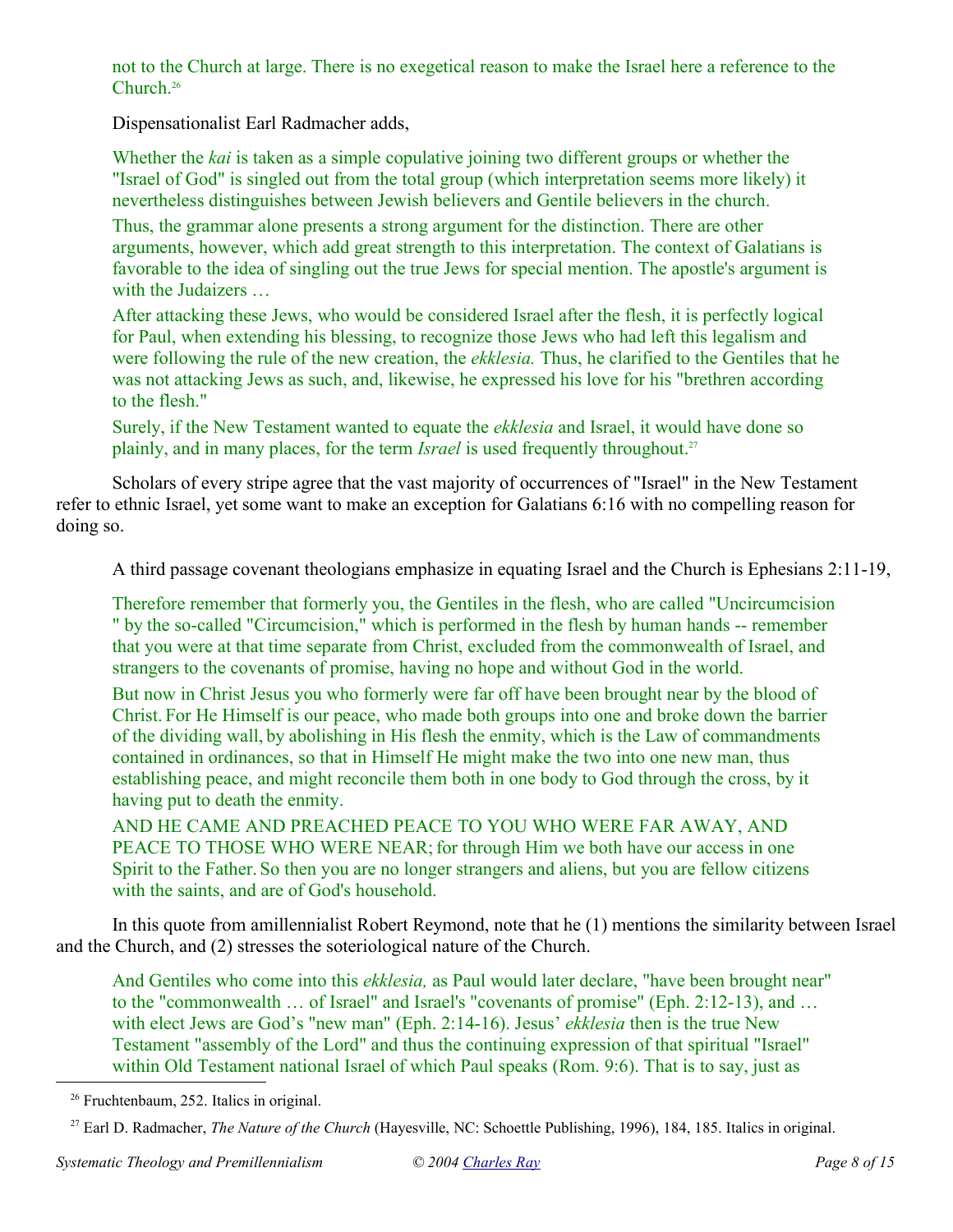not to the Church at large. There is no exegetical reason to make the Israel here a reference to the Church.<sup>26</sup>

Dispensationalist Earl Radmacher adds,

Whether the *kai* is taken as a simple copulative joining two different groups or whether the "Israel of God" is singled out from the total group (which interpretation seems more likely) it nevertheless distinguishes between Jewish believers and Gentile believers in the church.

Thus, the grammar alone presents a strong argument for the distinction. There are other arguments, however, which add great strength to this interpretation. The context of Galatians is favorable to the idea of singling out the true Jews for special mention. The apostle's argument is with the Judaizers ...

After attacking these Jews, who would be considered Israel after the flesh, it is perfectly logical for Paul, when extending his blessing, to recognize those Jews who had left this legalism and were following the rule of the new creation, the *ekklesia.* Thus, he clarified to the Gentiles that he was not attacking Jews as such, and, likewise, he expressed his love for his "brethren according to the flesh."

Surely, if the New Testament wanted to equate the *ekklesia* and Israel, it would have done so plainly, and in many places, for the term *Israel* is used frequently throughout.<sup>27</sup>

Scholars of every stripe agree that the vast majority of occurrences of "Israel" in the New Testament refer to ethnic Israel, yet some want to make an exception for Galatians 6:16 with no compelling reason for doing so.

A third passage covenant theologians emphasize in equating Israel and the Church is Ephesians 2:11-19,

Therefore remember that formerly you, the Gentiles in the flesh, who are called "Uncircumcision " by the so-called "Circumcision," which is performed in the flesh by human hands -- remember that you were at that time separate from Christ, excluded from the commonwealth of Israel, and strangers to the covenants of promise, having no hope and without God in the world.

But now in Christ Jesus you who formerly were far off have been brought near by the blood of Christ. For He Himself is our peace, who made both groups into one and broke down the barrier of the dividing wall, by abolishing in His flesh the enmity, which is the Law of commandments contained in ordinances, so that in Himself He might make the two into one new man, thus establishing peace, and might reconcile them both in one body to God through the cross, by it having put to death the enmity.

AND HE CAME AND PREACHED PEACE TO YOU WHO WERE FAR AWAY, AND PEACE TO THOSE WHO WERE NEAR; for through Him we both have our access in one Spirit to the Father. So then you are no longer strangers and aliens, but you are fellow citizens with the saints, and are of God's household.

In this quote from amillennialist Robert Reymond, note that he (1) mentions the similarity between Israel and the Church, and (2) stresses the soteriological nature of the Church.

And Gentiles who come into this *ekklesia,* as Paul would later declare, "have been brought near" to the "commonwealth … of Israel" and Israel's "covenants of promise" (Eph. 2:12-13), and … with elect Jews are God's "new man" (Eph. 2:14-16). Jesus' *ekklesia* then is the true New Testament "assembly of the Lord" and thus the continuing expression of that spiritual "Israel" within Old Testament national Israel of which Paul speaks (Rom. 9:6). That is to say, just as

<sup>26</sup> Fruchtenbaum, 252. Italics in original.

<sup>27</sup> Earl D. Radmacher, *The Nature of the Church* (Hayesville, NC: Schoettle Publishing, 1996), 184, 185. Italics in original.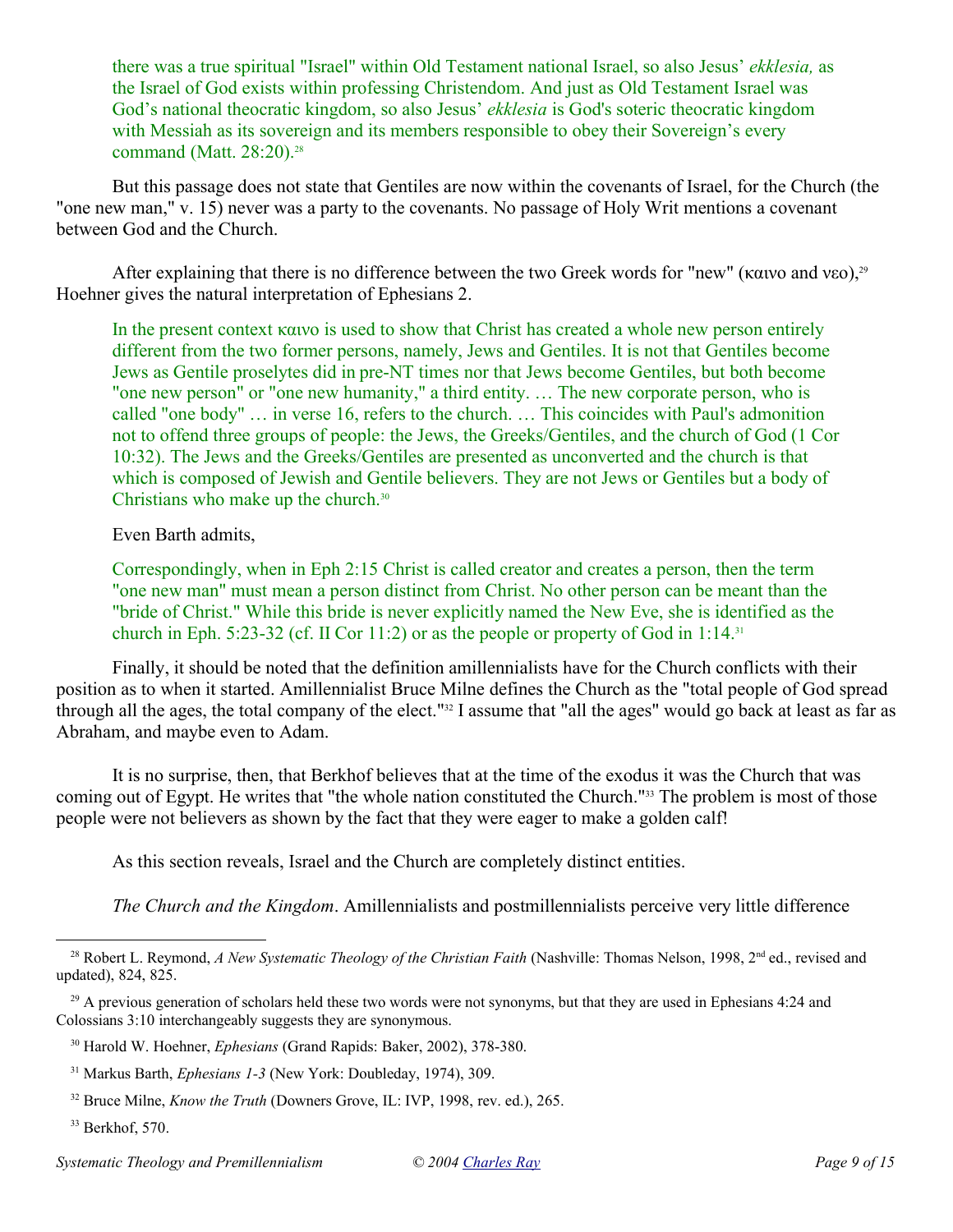there was a true spiritual "Israel" within Old Testament national Israel, so also Jesus' *ekklesia,* as the Israel of God exists within professing Christendom. And just as Old Testament Israel was God's national theocratic kingdom, so also Jesus' *ekklesia* is God's soteric theocratic kingdom with Messiah as its sovereign and its members responsible to obey their Sovereign's every command (Matt. 28:20).<sup>28</sup>

But this passage does not state that Gentiles are now within the covenants of Israel, for the Church (the "one new man," v. 15) never was a party to the covenants. No passage of Holy Writ mentions a covenant between God and the Church.

After explaining that there is no difference between the two Greek words for "new" (καινο and νεο),<sup>29</sup> Hoehner gives the natural interpretation of Ephesians 2.

In the present context  $\kappa a v$  is used to show that Christ has created a whole new person entirely different from the two former persons, namely, Jews and Gentiles. It is not that Gentiles become Jews as Gentile proselytes did in pre-NT times nor that Jews become Gentiles, but both become "one new person" or "one new humanity," a third entity. … The new corporate person, who is called "one body" … in verse 16, refers to the church. … This coincides with Paul's admonition not to offend three groups of people: the Jews, the Greeks/Gentiles, and the church of God (1 Cor 10:32). The Jews and the Greeks/Gentiles are presented as unconverted and the church is that which is composed of Jewish and Gentile believers. They are not Jews or Gentiles but a body of Christians who make up the church.<sup>30</sup>

Even Barth admits,

Correspondingly, when in Eph 2:15 Christ is called creator and creates a person, then the term "one new man" must mean a person distinct from Christ. No other person can be meant than the "bride of Christ." While this bride is never explicitly named the New Eve, she is identified as the church in Eph. 5:23-32 (cf. II Cor 11:2) or as the people or property of God in 1:14.<sup>31</sup>

Finally, it should be noted that the definition amillennialists have for the Church conflicts with their position as to when it started. Amillennialist Bruce Milne defines the Church as the "total people of God spread through all the ages, the total company of the elect."<sup>32</sup> I assume that "all the ages" would go back at least as far as Abraham, and maybe even to Adam.

It is no surprise, then, that Berkhof believes that at the time of the exodus it was the Church that was coming out of Egypt. He writes that "the whole nation constituted the Church."33 The problem is most of those people were not believers as shown by the fact that they were eager to make a golden calf!

As this section reveals, Israel and the Church are completely distinct entities.

*The Church and the Kingdom*. Amillennialists and postmillennialists perceive very little difference

<sup>&</sup>lt;sup>28</sup> Robert L. Reymond, *A New Systematic Theology of the Christian Faith* (Nashville: Thomas Nelson, 1998, 2<sup>nd</sup> ed., revised and updated), 824, 825.

<sup>&</sup>lt;sup>29</sup> A previous generation of scholars held these two words were not synonyms, but that they are used in Ephesians 4:24 and Colossians 3:10 interchangeably suggests they are synonymous.

<sup>30</sup> Harold W. Hoehner, *Ephesians* (Grand Rapids: Baker, 2002), 378-380.

<sup>31</sup> Markus Barth, *Ephesians 1-3* (New York: Doubleday, 1974), 309.

<sup>32</sup> Bruce Milne, *Know the Truth* (Downers Grove, IL: IVP, 1998, rev. ed.), 265.

<sup>33</sup> Berkhof, 570.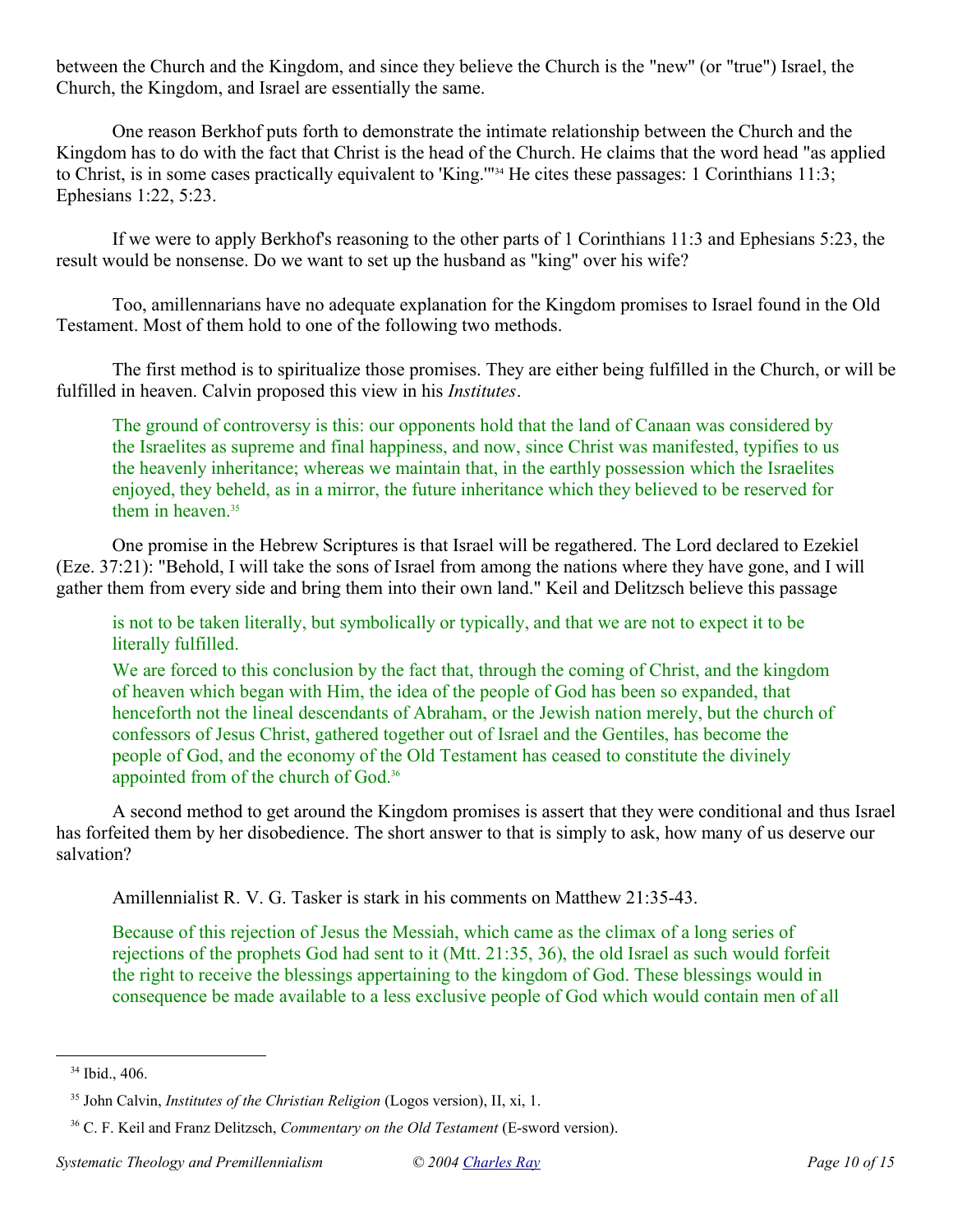between the Church and the Kingdom, and since they believe the Church is the "new" (or "true") Israel, the Church, the Kingdom, and Israel are essentially the same.

One reason Berkhof puts forth to demonstrate the intimate relationship between the Church and the Kingdom has to do with the fact that Christ is the head of the Church. He claims that the word head "as applied to Christ, is in some cases practically equivalent to 'King.'"34 He cites these passages: 1 Corinthians 11:3; Ephesians 1:22, 5:23.

If we were to apply Berkhof's reasoning to the other parts of 1 Corinthians 11:3 and Ephesians 5:23, the result would be nonsense. Do we want to set up the husband as "king" over his wife?

Too, amillennarians have no adequate explanation for the Kingdom promises to Israel found in the Old Testament. Most of them hold to one of the following two methods.

The first method is to spiritualize those promises. They are either being fulfilled in the Church, or will be fulfilled in heaven. Calvin proposed this view in his *Institutes*.

The ground of controversy is this: our opponents hold that the land of Canaan was considered by the Israelites as supreme and final happiness, and now, since Christ was manifested, typifies to us the heavenly inheritance; whereas we maintain that, in the earthly possession which the Israelites enjoyed, they beheld, as in a mirror, the future inheritance which they believed to be reserved for them in heaven.<sup>35</sup>

One promise in the Hebrew Scriptures is that Israel will be regathered. The Lord declared to Ezekiel (Eze. 37:21): "Behold, I will take the sons of Israel from among the nations where they have gone, and I will gather them from every side and bring them into their own land." Keil and Delitzsch believe this passage

is not to be taken literally, but symbolically or typically, and that we are not to expect it to be literally fulfilled.

We are forced to this conclusion by the fact that, through the coming of Christ, and the kingdom of heaven which began with Him, the idea of the people of God has been so expanded, that henceforth not the lineal descendants of Abraham, or the Jewish nation merely, but the church of confessors of Jesus Christ, gathered together out of Israel and the Gentiles, has become the people of God, and the economy of the Old Testament has ceased to constitute the divinely appointed from of the church of God.<sup>36</sup>

A second method to get around the Kingdom promises is assert that they were conditional and thus Israel has forfeited them by her disobedience. The short answer to that is simply to ask, how many of us deserve our salvation?

Amillennialist R. V. G. Tasker is stark in his comments on Matthew 21:35-43.

Because of this rejection of Jesus the Messiah, which came as the climax of a long series of rejections of the prophets God had sent to it (Mtt. 21:35, 36), the old Israel as such would forfeit the right to receive the blessings appertaining to the kingdom of God. These blessings would in consequence be made available to a less exclusive people of God which would contain men of all

 $34$  Ibid., 406.

<sup>35</sup> John Calvin, *Institutes of the Christian Religion* (Logos version), II, xi, 1.

<sup>36</sup> C. F. Keil and Franz Delitzsch, *Commentary on the Old Testament* (E-sword version).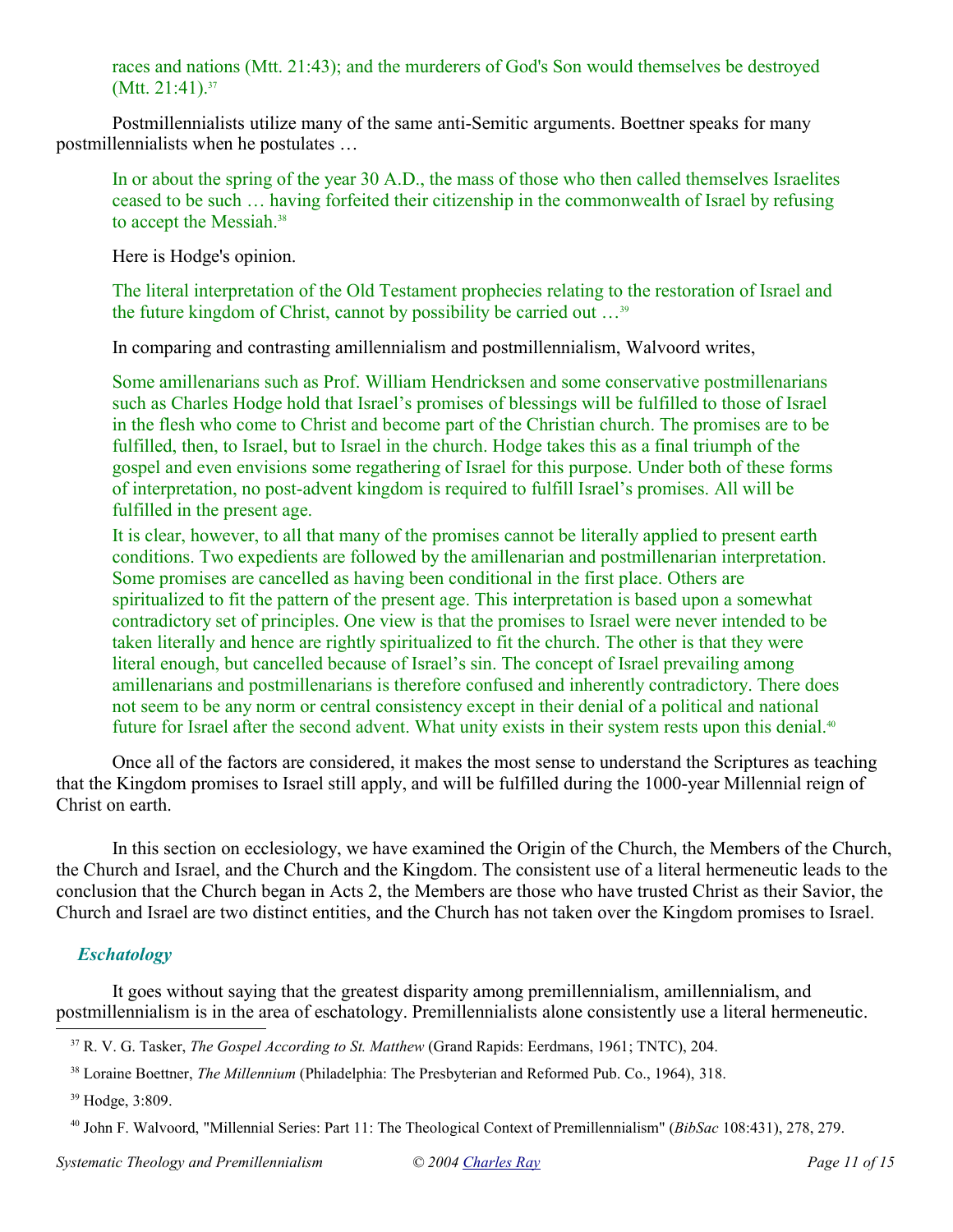races and nations (Mtt. 21:43); and the murderers of God's Son would themselves be destroyed  $(Mtt. 21:41).<sup>37</sup>$ 

Postmillennialists utilize many of the same anti-Semitic arguments. Boettner speaks for many postmillennialists when he postulates …

In or about the spring of the year 30 A.D., the mass of those who then called themselves Israelites ceased to be such … having forfeited their citizenship in the commonwealth of Israel by refusing to accept the Messiah.<sup>38</sup>

Here is Hodge's opinion.

The literal interpretation of the Old Testament prophecies relating to the restoration of Israel and the future kingdom of Christ, cannot by possibility be carried out …<sup>39</sup>

In comparing and contrasting amillennialism and postmillennialism, Walvoord writes,

Some amillenarians such as Prof. William Hendricksen and some conservative postmillenarians such as Charles Hodge hold that Israel's promises of blessings will be fulfilled to those of Israel in the flesh who come to Christ and become part of the Christian church. The promises are to be fulfilled, then, to Israel, but to Israel in the church. Hodge takes this as a final triumph of the gospel and even envisions some regathering of Israel for this purpose. Under both of these forms of interpretation, no post-advent kingdom is required to fulfill Israel's promises. All will be fulfilled in the present age.

It is clear, however, to all that many of the promises cannot be literally applied to present earth conditions. Two expedients are followed by the amillenarian and postmillenarian interpretation. Some promises are cancelled as having been conditional in the first place. Others are spiritualized to fit the pattern of the present age. This interpretation is based upon a somewhat contradictory set of principles. One view is that the promises to Israel were never intended to be taken literally and hence are rightly spiritualized to fit the church. The other is that they were literal enough, but cancelled because of Israel's sin. The concept of Israel prevailing among amillenarians and postmillenarians is therefore confused and inherently contradictory. There does not seem to be any norm or central consistency except in their denial of a political and national future for Israel after the second advent. What unity exists in their system rests upon this denial.<sup>40</sup>

Once all of the factors are considered, it makes the most sense to understand the Scriptures as teaching that the Kingdom promises to Israel still apply, and will be fulfilled during the 1000-year Millennial reign of Christ on earth.

In this section on ecclesiology, we have examined the Origin of the Church, the Members of the Church, the Church and Israel, and the Church and the Kingdom. The consistent use of a literal hermeneutic leads to the conclusion that the Church began in Acts 2, the Members are those who have trusted Christ as their Savior, the Church and Israel are two distinct entities, and the Church has not taken over the Kingdom promises to Israel.

# *Eschatology*

It goes without saying that the greatest disparity among premillennialism, amillennialism, and postmillennialism is in the area of eschatology. Premillennialists alone consistently use a literal hermeneutic.

<sup>39</sup> Hodge, 3:809.

<sup>37</sup> R. V. G. Tasker, *The Gospel According to St. Matthew* (Grand Rapids: Eerdmans, 1961; TNTC), 204.

<sup>38</sup> Loraine Boettner, *The Millennium* (Philadelphia: The Presbyterian and Reformed Pub. Co., 1964), 318.

<sup>40</sup> John F. Walvoord, "Millennial Series: Part 11: The Theological Context of Premillennialism" (*BibSac* 108:431), 278, 279.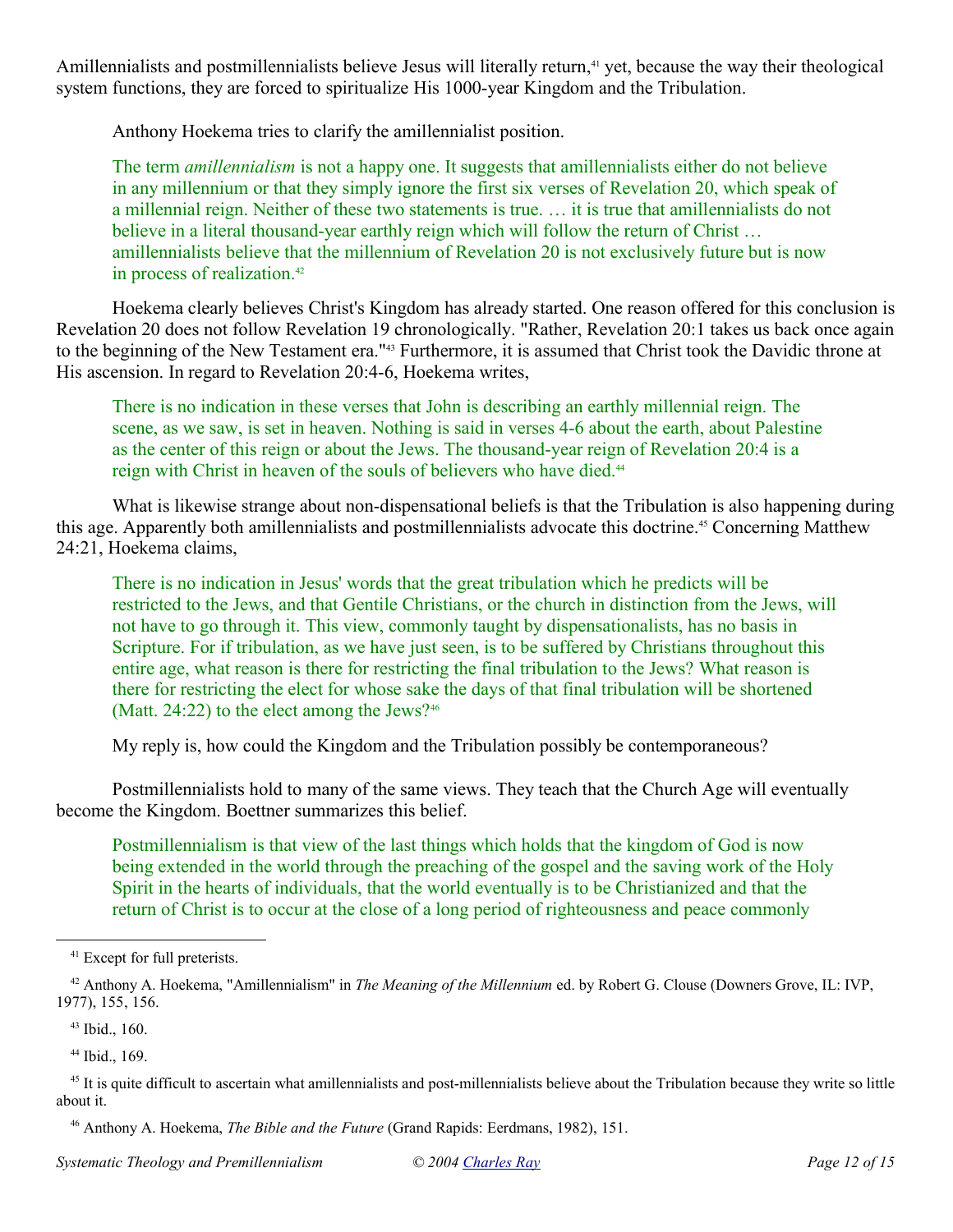Amillennialists and postmillennialists believe Jesus will literally return,<sup>41</sup> yet, because the way their theological system functions, they are forced to spiritualize His 1000-year Kingdom and the Tribulation.

Anthony Hoekema tries to clarify the amillennialist position.

The term *amillennialism* is not a happy one. It suggests that amillennialists either do not believe in any millennium or that they simply ignore the first six verses of Revelation 20, which speak of a millennial reign. Neither of these two statements is true. … it is true that amillennialists do not believe in a literal thousand-year earthly reign which will follow the return of Christ ... amillennialists believe that the millennium of Revelation 20 is not exclusively future but is now in process of realization.<sup>42</sup>

Hoekema clearly believes Christ's Kingdom has already started. One reason offered for this conclusion is Revelation 20 does not follow Revelation 19 chronologically. "Rather, Revelation 20:1 takes us back once again to the beginning of the New Testament era."43 Furthermore, it is assumed that Christ took the Davidic throne at His ascension. In regard to Revelation 20:4-6, Hoekema writes,

There is no indication in these verses that John is describing an earthly millennial reign. The scene, as we saw, is set in heaven. Nothing is said in verses 4-6 about the earth, about Palestine as the center of this reign or about the Jews. The thousand-year reign of Revelation 20:4 is a reign with Christ in heaven of the souls of believers who have died.<sup>44</sup>

What is likewise strange about non-dispensational beliefs is that the Tribulation is also happening during this age. Apparently both amillennialists and postmillennialists advocate this doctrine.45 Concerning Matthew 24:21, Hoekema claims,

There is no indication in Jesus' words that the great tribulation which he predicts will be restricted to the Jews, and that Gentile Christians, or the church in distinction from the Jews, will not have to go through it. This view, commonly taught by dispensationalists, has no basis in Scripture. For if tribulation, as we have just seen, is to be suffered by Christians throughout this entire age, what reason is there for restricting the final tribulation to the Jews? What reason is there for restricting the elect for whose sake the days of that final tribulation will be shortened (Matt. 24:22) to the elect among the Jews?<sup>46</sup>

My reply is, how could the Kingdom and the Tribulation possibly be contemporaneous?

Postmillennialists hold to many of the same views. They teach that the Church Age will eventually become the Kingdom. Boettner summarizes this belief.

Postmillennialism is that view of the last things which holds that the kingdom of God is now being extended in the world through the preaching of the gospel and the saving work of the Holy Spirit in the hearts of individuals, that the world eventually is to be Christianized and that the return of Christ is to occur at the close of a long period of righteousness and peace commonly

<sup>46</sup> Anthony A. Hoekema, *The Bible and the Future* (Grand Rapids: Eerdmans, 1982), 151.

<sup>41</sup> Except for full preterists.

<sup>42</sup> Anthony A. Hoekema, "Amillennialism" in *The Meaning of the Millennium* ed. by Robert G. Clouse (Downers Grove, IL: IVP, 1977), 155, 156.

<sup>43</sup> Ibid., 160.

<sup>44</sup> Ibid., 169.

 $45$  It is quite difficult to ascertain what amillennialists and post-millennialists believe about the Tribulation because they write so little about it.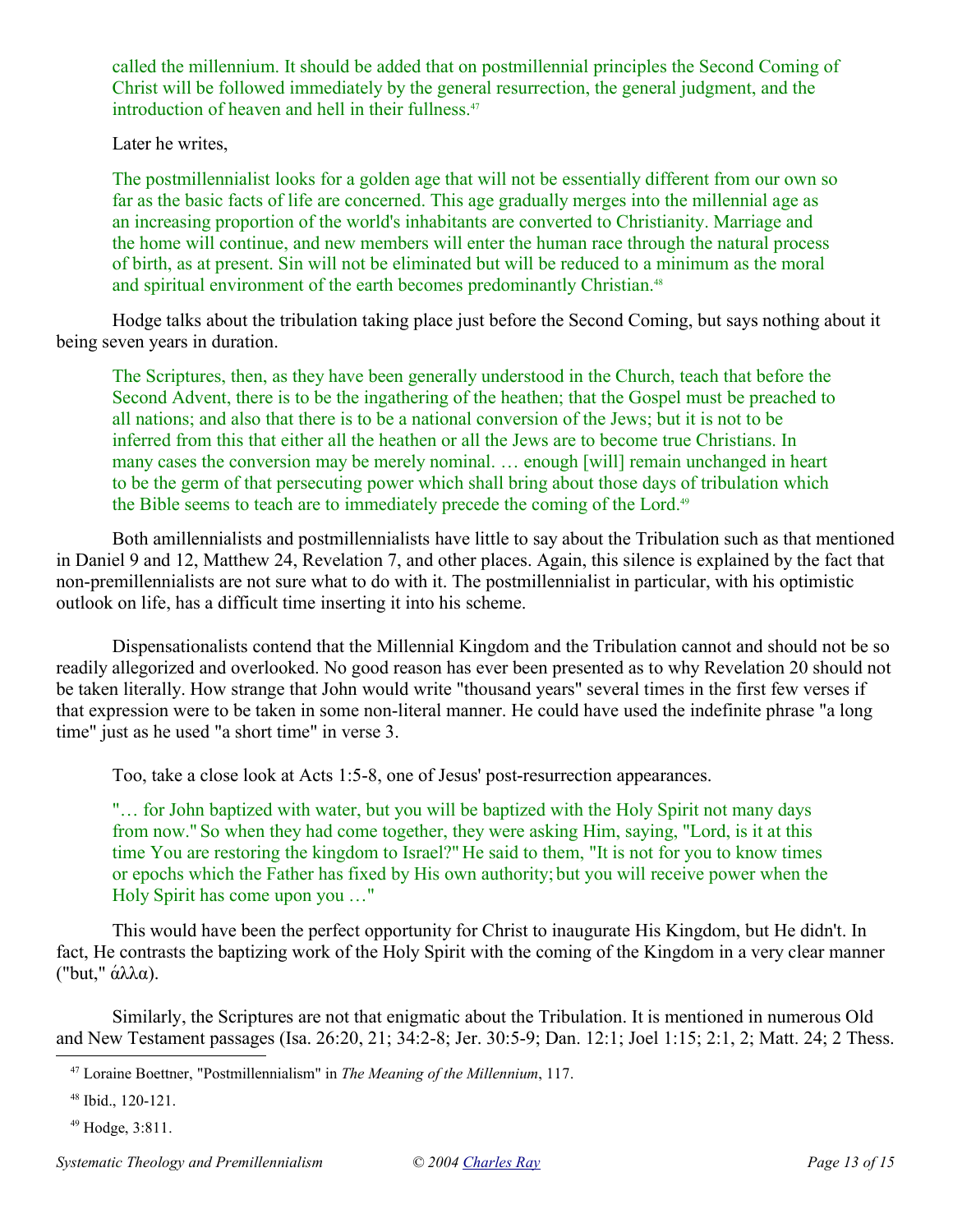called the millennium. It should be added that on postmillennial principles the Second Coming of Christ will be followed immediately by the general resurrection, the general judgment, and the introduction of heaven and hell in their fullness.<sup>47</sup>

Later he writes,

The postmillennialist looks for a golden age that will not be essentially different from our own so far as the basic facts of life are concerned. This age gradually merges into the millennial age as an increasing proportion of the world's inhabitants are converted to Christianity. Marriage and the home will continue, and new members will enter the human race through the natural process of birth, as at present. Sin will not be eliminated but will be reduced to a minimum as the moral and spiritual environment of the earth becomes predominantly Christian.<sup>48</sup>

Hodge talks about the tribulation taking place just before the Second Coming, but says nothing about it being seven years in duration.

The Scriptures, then, as they have been generally understood in the Church, teach that before the Second Advent, there is to be the ingathering of the heathen; that the Gospel must be preached to all nations; and also that there is to be a national conversion of the Jews; but it is not to be inferred from this that either all the heathen or all the Jews are to become true Christians. In many cases the conversion may be merely nominal. … enough [will] remain unchanged in heart to be the germ of that persecuting power which shall bring about those days of tribulation which the Bible seems to teach are to immediately precede the coming of the Lord.<sup>49</sup>

Both amillennialists and postmillennialists have little to say about the Tribulation such as that mentioned in Daniel 9 and 12, Matthew 24, Revelation 7, and other places. Again, this silence is explained by the fact that non-premillennialists are not sure what to do with it. The postmillennialist in particular, with his optimistic outlook on life, has a difficult time inserting it into his scheme.

Dispensationalists contend that the Millennial Kingdom and the Tribulation cannot and should not be so readily allegorized and overlooked. No good reason has ever been presented as to why Revelation 20 should not be taken literally. How strange that John would write "thousand years" several times in the first few verses if that expression were to be taken in some non-literal manner. He could have used the indefinite phrase "a long time" just as he used "a short time" in verse 3.

Too, take a close look at Acts 1:5-8, one of Jesus' post-resurrection appearances.

"… for John baptized with water, but you will be baptized with the Holy Spirit not many days from now." So when they had come together, they were asking Him, saying, "Lord, is it at this time You are restoring the kingdom to Israel?" He said to them, "It is not for you to know times or epochs which the Father has fixed by His own authority; but you will receive power when the Holy Spirit has come upon you …"

This would have been the perfect opportunity for Christ to inaugurate His Kingdom, but He didn't. In fact, He contrasts the baptizing work of the Holy Spirit with the coming of the Kingdom in a very clear manner ("but," άλλα).

Similarly, the Scriptures are not that enigmatic about the Tribulation. It is mentioned in numerous Old and New Testament passages (Isa. 26:20, 21; 34:2-8; Jer. 30:5-9; Dan. 12:1; Joel 1:15; 2:1, 2; Matt. 24; 2 Thess.

<sup>47</sup> Loraine Boettner, "Postmillennialism" in *The Meaning of the Millennium*, 117.

<sup>48</sup> Ibid., 120-121.

<sup>49</sup> Hodge, 3:811.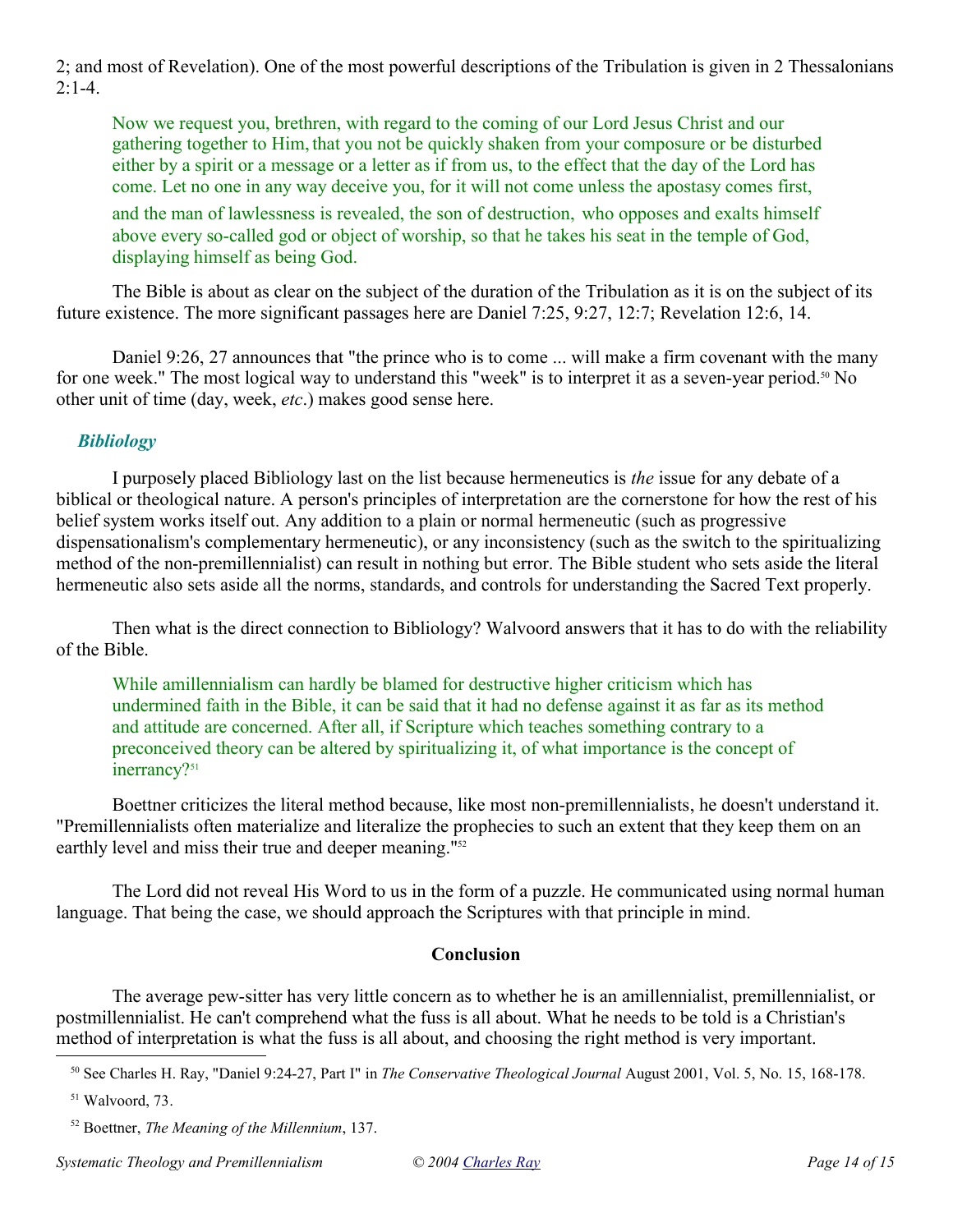2; and most of Revelation). One of the most powerful descriptions of the Tribulation is given in 2 Thessalonians  $2:1-4.$ 

Now we request you, brethren, with regard to the coming of our Lord Jesus Christ and our gathering together to Him, that you not be quickly shaken from your composure or be disturbed either by a spirit or a message or a letter as if from us, to the effect that the day of the Lord has come. Let no one in any way deceive you, for it will not come unless the apostasy comes first,

and the man of lawlessness is revealed, the son of destruction, who opposes and exalts himself above every so-called god or object of worship, so that he takes his seat in the temple of God, displaying himself as being God.

The Bible is about as clear on the subject of the duration of the Tribulation as it is on the subject of its future existence. The more significant passages here are Daniel 7:25, 9:27, 12:7; Revelation 12:6, 14.

Daniel 9:26, 27 announces that "the prince who is to come ... will make a firm covenant with the many for one week." The most logical way to understand this "week" is to interpret it as a seven-year period.<sup>50</sup> No other unit of time (day, week, *etc*.) makes good sense here.

# *Bibliology*

I purposely placed Bibliology last on the list because hermeneutics is *the* issue for any debate of a biblical or theological nature. A person's principles of interpretation are the cornerstone for how the rest of his belief system works itself out. Any addition to a plain or normal hermeneutic (such as progressive dispensationalism's complementary hermeneutic), or any inconsistency (such as the switch to the spiritualizing method of the non-premillennialist) can result in nothing but error. The Bible student who sets aside the literal hermeneutic also sets aside all the norms, standards, and controls for understanding the Sacred Text properly.

Then what is the direct connection to Bibliology? Walvoord answers that it has to do with the reliability of the Bible.

While amillennialism can hardly be blamed for destructive higher criticism which has undermined faith in the Bible, it can be said that it had no defense against it as far as its method and attitude are concerned. After all, if Scripture which teaches something contrary to a preconceived theory can be altered by spiritualizing it, of what importance is the concept of inerrancy?<sup>51</sup>

Boettner criticizes the literal method because, like most non-premillennialists, he doesn't understand it. "Premillennialists often materialize and literalize the prophecies to such an extent that they keep them on an earthly level and miss their true and deeper meaning."<sup>52</sup>

The Lord did not reveal His Word to us in the form of a puzzle. He communicated using normal human language. That being the case, we should approach the Scriptures with that principle in mind.

# **Conclusion**

The average pew-sitter has very little concern as to whether he is an amillennialist, premillennialist, or postmillennialist. He can't comprehend what the fuss is all about. What he needs to be told is a Christian's method of interpretation is what the fuss is all about, and choosing the right method is very important.

<sup>50</sup> See Charles H. Ray, "Daniel 9:24-27, Part I" in *The Conservative Theological Journal* August 2001, Vol. 5, No. 15, 168-178.

<sup>51</sup> Walvoord, 73.

<sup>52</sup> Boettner, *The Meaning of the Millennium*, 137.